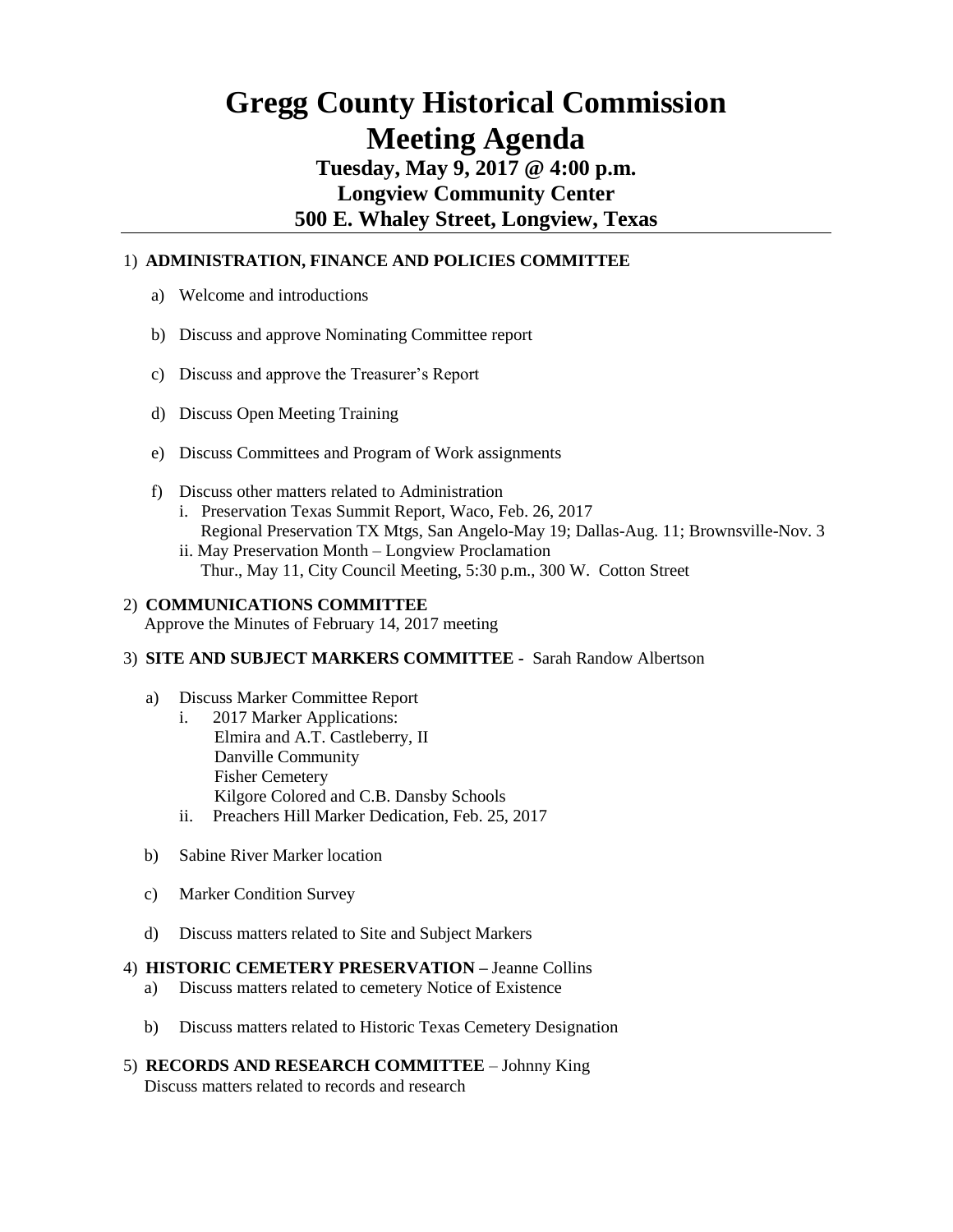# **Gregg County Historical Commission Meeting Agenda**

# **Tuesday, May 9, 2017 @ 4:00 p.m. Longview Community Center 500 E. Whaley Street, Longview, Texas**

## 1) **ADMINISTRATION, FINANCE AND POLICIES COMMITTEE**

- a) Welcome and introductions
- b) Discuss and approve Nominating Committee report
- c) Discuss and approve the Treasurer's Report
- d) Discuss Open Meeting Training
- e) Discuss Committees and Program of Work assignments
- f) Discuss other matters related to Administration i. Preservation Texas Summit Report, Waco, Feb. 26, 2017 Regional Preservation TX Mtgs, San Angelo-May 19; Dallas-Aug. 11; Brownsville-Nov. 3
	- ii. May Preservation Month Longview Proclamation Thur., May 11, City Council Meeting, 5:30 p.m., 300 W. Cotton Street

### 2) **COMMUNICATIONS COMMITTEE**

Approve the Minutes of February 14, 2017 meeting

#### 3) **SITE AND SUBJECT MARKERS COMMITTEE -** Sarah Randow Albertson

- a) Discuss Marker Committee Report
	- i. 2017 Marker Applications: Elmira and A.T. Castleberry, II Danville Community Fisher Cemetery Kilgore Colored and C.B. Dansby Schools ii. Preachers Hill Marker Dedication, Feb. 25, 2017
- b) Sabine River Marker location
- c) Marker Condition Survey
- d) Discuss matters related to Site and Subject Markers

#### 4) **HISTORIC CEMETERY PRESERVATION –** Jeanne Collins

- a) Discuss matters related to cemetery Notice of Existence
- b) Discuss matters related to Historic Texas Cemetery Designation
- 5) **RECORDS AND RESEARCH COMMITTEE** Johnny King Discuss matters related to records and research